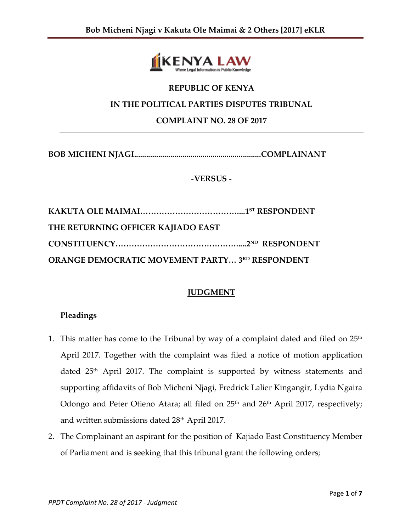

# **REPUBLIC OF KENYA**

## **IN THE POLITICAL PARTIES DISPUTES TRIBUNAL**

#### **COMPLAINT NO. 28 OF 2017**

**BOB MICHENI NJAGI...............................................................COMPLAINANT**

#### **-VERSUS -**

| THE RETURNING OFFICER KAJIADO EAST                     |  |
|--------------------------------------------------------|--|
|                                                        |  |
| <b>ORANGE DEMOCRATIC MOVEMENT PARTY 3RD RESPONDENT</b> |  |

#### **JUDGMENT**

#### **Pleadings**

- 1. This matter has come to the Tribunal by way of a complaint dated and filed on  $25<sup>th</sup>$ April 2017. Together with the complaint was filed a notice of motion application dated 25<sup>th</sup> April 2017. The complaint is supported by witness statements and supporting affidavits of Bob Micheni Njagi, Fredrick Lalier Kingangir, Lydia Ngaira Odongo and Peter Otieno Atara; all filed on 25<sup>th</sup> and 26<sup>th</sup> April 2017, respectively; and written submissions dated 28<sup>th</sup> April 2017.
- 2. The Complainant an aspirant for the position of Kajiado East Constituency Member of Parliament and is seeking that this tribunal grant the following orders;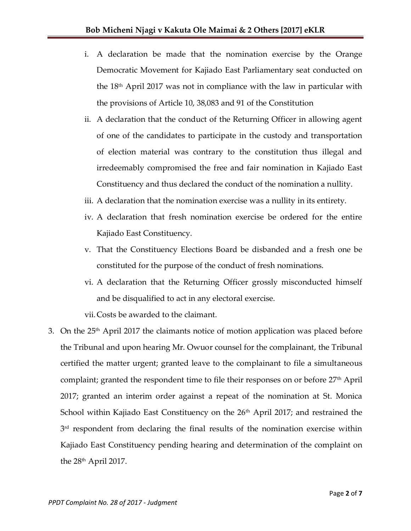- i. A declaration be made that the nomination exercise by the Orange Democratic Movement for Kajiado East Parliamentary seat conducted on the  $18<sup>th</sup>$  April 2017 was not in compliance with the law in particular with the provisions of Article 10, 38,083 and 91 of the Constitution
- ii. A declaration that the conduct of the Returning Officer in allowing agent of one of the candidates to participate in the custody and transportation of election material was contrary to the constitution thus illegal and irredeemably compromised the free and fair nomination in Kajiado East Constituency and thus declared the conduct of the nomination a nullity.
- iii. A declaration that the nomination exercise was a nullity in its entirety.
- iv. A declaration that fresh nomination exercise be ordered for the entire Kajiado East Constituency.
- v. That the Constituency Elections Board be disbanded and a fresh one be constituted for the purpose of the conduct of fresh nominations.
- vi. A declaration that the Returning Officer grossly misconducted himself and be disqualified to act in any electoral exercise.

vii.Costs be awarded to the claimant.

3. On the 25<sup>th</sup> April 2017 the claimants notice of motion application was placed before the Tribunal and upon hearing Mr. Owuor counsel for the complainant, the Tribunal certified the matter urgent; granted leave to the complainant to file a simultaneous complaint; granted the respondent time to file their responses on or before  $27<sup>th</sup>$  April 2017; granted an interim order against a repeat of the nomination at St. Monica School within Kajiado East Constituency on the  $26<sup>th</sup>$  April 2017; and restrained the  $3<sup>rd</sup>$  respondent from declaring the final results of the nomination exercise within Kajiado East Constituency pending hearing and determination of the complaint on the  $28<sup>th</sup>$  April 2017.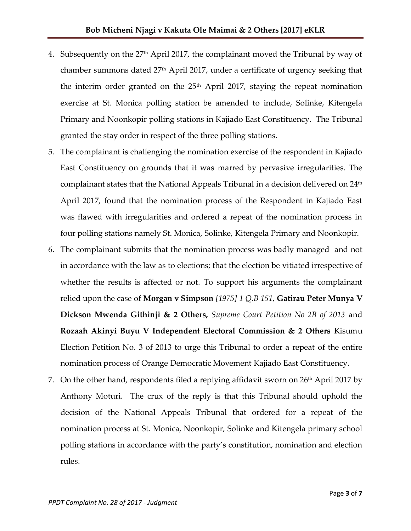- 4. Subsequently on the 27 th April 2017, the complainant moved the Tribunal by way of chamber summons dated 27<sup>th</sup> April 2017, under a certificate of urgency seeking that the interim order granted on the  $25<sup>th</sup>$  April 2017, staying the repeat nomination exercise at St. Monica polling station be amended to include, Solinke, Kitengela Primary and Noonkopir polling stations in Kajiado East Constituency. The Tribunal granted the stay order in respect of the three polling stations.
- 5. The complainant is challenging the nomination exercise of the respondent in Kajiado East Constituency on grounds that it was marred by pervasive irregularities. The complainant states that the National Appeals Tribunal in a decision delivered on 24<sup>th</sup> April 2017, found that the nomination process of the Respondent in Kajiado East was flawed with irregularities and ordered a repeat of the nomination process in four polling stations namely St. Monica, Solinke, Kitengela Primary and Noonkopir.
- 6. The complainant submits that the nomination process was badly managed and not in accordance with the law as to elections; that the election be vitiated irrespective of whether the results is affected or not. To support his arguments the complainant relied upon the case of **Morgan v Simpson** *[1975] 1 Q.B 151*, **Gatirau Peter Munya V Dickson Mwenda Githinji & 2 Others,** *Supreme Court Petition No 2B of 2013* and **Rozaah Akinyi Buyu V Independent Electoral Commission & 2 Others** Kisumu Election Petition No. 3 of 2013 to urge this Tribunal to order a repeat of the entire nomination process of Orange Democratic Movement Kajiado East Constituency.
- 7. On the other hand, respondents filed a replying affidavit sworn on  $26<sup>th</sup>$  April 2017 by Anthony Moturi. The crux of the reply is that this Tribunal should uphold the decision of the National Appeals Tribunal that ordered for a repeat of the nomination process at St. Monica, Noonkopir, Solinke and Kitengela primary school polling stations in accordance with the party's constitution, nomination and election rules.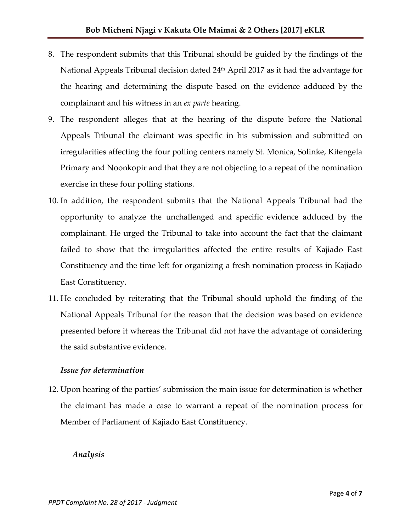- 8. The respondent submits that this Tribunal should be guided by the findings of the National Appeals Tribunal decision dated 24<sup>th</sup> April 2017 as it had the advantage for the hearing and determining the dispute based on the evidence adduced by the complainant and his witness in an *ex parte* hearing.
- 9. The respondent alleges that at the hearing of the dispute before the National Appeals Tribunal the claimant was specific in his submission and submitted on irregularities affecting the four polling centers namely St. Monica, Solinke, Kitengela Primary and Noonkopir and that they are not objecting to a repeat of the nomination exercise in these four polling stations.
- 10. In addition, the respondent submits that the National Appeals Tribunal had the opportunity to analyze the unchallenged and specific evidence adduced by the complainant. He urged the Tribunal to take into account the fact that the claimant failed to show that the irregularities affected the entire results of Kajiado East Constituency and the time left for organizing a fresh nomination process in Kajiado East Constituency.
- 11. He concluded by reiterating that the Tribunal should uphold the finding of the National Appeals Tribunal for the reason that the decision was based on evidence presented before it whereas the Tribunal did not have the advantage of considering the said substantive evidence.

#### *Issue for determination*

12. Upon hearing of the parties' submission the main issue for determination is whether the claimant has made a case to warrant a repeat of the nomination process for Member of Parliament of Kajiado East Constituency.

#### *Analysis*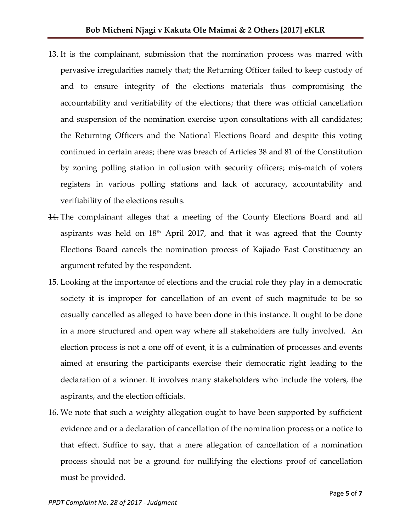- 13. It is the complainant, submission that the nomination process was marred with pervasive irregularities namely that; the Returning Officer failed to keep custody of and to ensure integrity of the elections materials thus compromising the accountability and verifiability of the elections; that there was official cancellation and suspension of the nomination exercise upon consultations with all candidates; the Returning Officers and the National Elections Board and despite this voting continued in certain areas; there was breach of Articles 38 and 81 of the Constitution by zoning polling station in collusion with security officers; mis-match of voters registers in various polling stations and lack of accuracy, accountability and verifiability of the elections results.
- 14. The complainant alleges that a meeting of the County Elections Board and all aspirants was held on  $18<sup>th</sup>$  April 2017, and that it was agreed that the County Elections Board cancels the nomination process of Kajiado East Constituency an argument refuted by the respondent.
- 15. Looking at the importance of elections and the crucial role they play in a democratic society it is improper for cancellation of an event of such magnitude to be so casually cancelled as alleged to have been done in this instance. It ought to be done in a more structured and open way where all stakeholders are fully involved. An election process is not a one off of event, it is a culmination of processes and events aimed at ensuring the participants exercise their democratic right leading to the declaration of a winner. It involves many stakeholders who include the voters, the aspirants, and the election officials.
- 16. We note that such a weighty allegation ought to have been supported by sufficient evidence and or a declaration of cancellation of the nomination process or a notice to that effect. Suffice to say, that a mere allegation of cancellation of a nomination process should not be a ground for nullifying the elections proof of cancellation must be provided.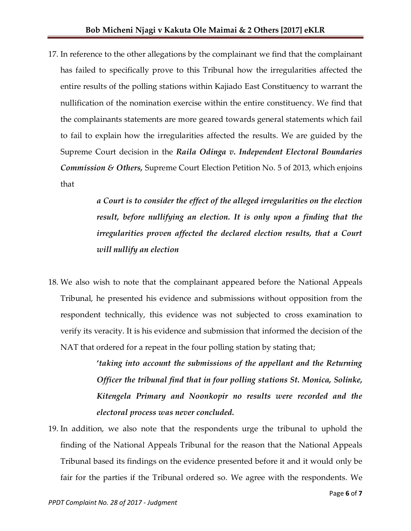17. In reference to the other allegations by the complainant we find that the complainant has failed to specifically prove to this Tribunal how the irregularities affected the entire results of the polling stations within Kajiado East Constituency to warrant the nullification of the nomination exercise within the entire constituency. We find that the complainants statements are more geared towards general statements which fail to fail to explain how the irregularities affected the results. We are guided by the Supreme Court decision in the *Raila Odinga v. Independent Electoral Boundaries Commission & Others,* Supreme Court Election Petition No. 5 of 2013, which enjoins that

> *a Court is to consider the effect of the alleged irregularities on the election result, before nullifying an election. It is only upon a finding that the irregularities proven affected the declared election results, that a Court will nullify an election*

18. We also wish to note that the complainant appeared before the National Appeals Tribunal, he presented his evidence and submissions without opposition from the respondent technically, this evidence was not subjected to cross examination to verify its veracity. It is his evidence and submission that informed the decision of the NAT that ordered for a repeat in the four polling station by stating that;

> **'***taking into account the submissions of the appellant and the Returning Officer the tribunal find that in four polling stations St. Monica, Solinke, Kitengela Primary and Noonkopir no results were recorded and the electoral process was never concluded.*

19. In addition, we also note that the respondents urge the tribunal to uphold the finding of the National Appeals Tribunal for the reason that the National Appeals Tribunal based its findings on the evidence presented before it and it would only be fair for the parties if the Tribunal ordered so. We agree with the respondents. We